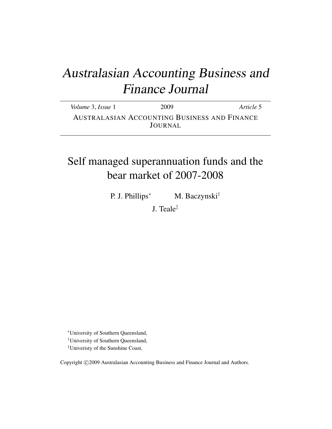# Australasian Accounting Business and Finance Journal

*Volume* 3, *Issue* 1 2009 *Article* 5 AUSTRALASIAN ACCOUNTING BUSINESS AND FINANCE JOURNAL

# Self managed superannuation funds and the bear market of 2007-2008

P. J. Phillips<sup>∗</sup> M. Baczynski<sup>†</sup>

J. Teale‡

<sup>∗</sup>University of Southern Queensland,

†University of Southern Queensland,

‡Univeristy of the Sunshine Coast,

Copyright ©2009 Australasian Accounting Business and Finance Journal and Authors.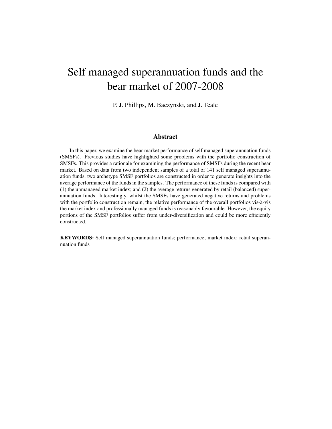# Self managed superannuation funds and the bear market of 2007-2008

P. J. Phillips, M. Baczynski, and J. Teale

#### Abstract

In this paper, we examine the bear market performance of self managed superannuation funds (SMSFs). Previous studies have highlighted some problems with the portfolio construction of SMSFs. This provides a rationale for examining the performance of SMSFs during the recent bear market. Based on data from two independent samples of a total of 141 self managed superannuation funds, two archetype SMSF portfolios are constructed in order to generate insights into the average performance of the funds in the samples. The performance of these funds is compared with (1) the unmanaged market index; and (2) the average returns generated by retail (balanced) superannuation funds. Interestingly, whilst the SMSFs have generated negative returns and problems with the portfolio construction remain, the relative performance of the overall portfolios vis-à-vis the market index and professionally managed funds is reasonably favourable. However, the equity portions of the SMSF portfolios suffer from under-diversification and could be more efficiently constructed.

KEYWORDS: Self managed superannuation funds; performance; market index; retail superannuation funds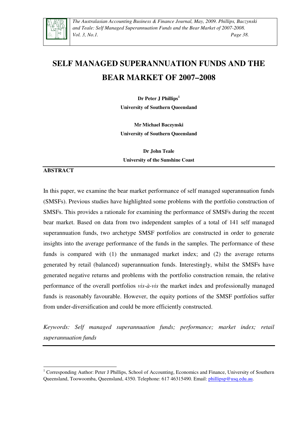

*The Australasian Accounting Business & Finance Journal, May, 2009. Phillips, Baczynski and Teale: Self Managed Superannuation Funds and the Bear Market of 2007-2008. Vol. 3, No.1. Page 38.* 

# **SELF MANAGED SUPERANNUATION FUNDS AND THE BEAR MARKET OF 2007–2008**

**Dr Peter J Phillips<sup>1</sup> University of Southern Queensland** 

**Mr Michael Baczynski University of Southern Queensland** 

**Dr John Teale University of the Sunshine Coast** 

#### **ABSTRACT**

L

In this paper, we examine the bear market performance of self managed superannuation funds (SMSFs). Previous studies have highlighted some problems with the portfolio construction of SMSFs. This provides a rationale for examining the performance of SMSFs during the recent bear market. Based on data from two independent samples of a total of 141 self managed superannuation funds, two archetype SMSF portfolios are constructed in order to generate insights into the average performance of the funds in the samples. The performance of these funds is compared with (1) the unmanaged market index; and (2) the average returns generated by retail (balanced) superannuation funds. Interestingly, whilst the SMSFs have generated negative returns and problems with the portfolio construction remain, the relative performance of the overall portfolios *vis-à-vis* the market index and professionally managed funds is reasonably favourable. However, the equity portions of the SMSF portfolios suffer from under-diversification and could be more efficiently constructed.

*Keywords: Self managed superannuation funds; performance; market index; retail superannuation funds* 

<sup>&</sup>lt;sup>1</sup> Corresponding Author: Peter J Phillips, School of Accounting, Economics and Finance, University of Southern Queensland, Toowoomba, Queensland, 4350. Telephone: 617 46315490. Email: phillipsp@usq.edu.au.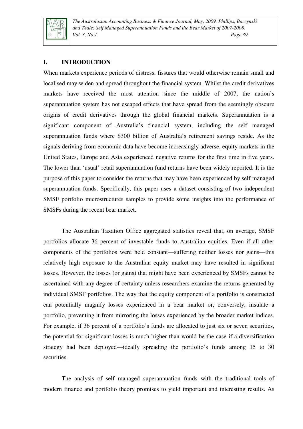

*The Australasian Accounting Business & Finance Journal, May, 2009. Phillips, Baczynski and Teale: Self Managed Superannuation Funds and the Bear Market of 2007-2008. Vol. 3, No.1. Page 39.* 

### **I. INTRODUCTION**

When markets experience periods of distress, fissures that would otherwise remain small and localised may widen and spread throughout the financial system. Whilst the credit derivatives markets have received the most attention since the middle of 2007, the nation's superannuation system has not escaped effects that have spread from the seemingly obscure origins of credit derivatives through the global financial markets. Superannuation is a significant component of Australia's financial system, including the self managed superannuation funds where \$300 billion of Australia's retirement savings reside. As the signals deriving from economic data have become increasingly adverse, equity markets in the United States, Europe and Asia experienced negative returns for the first time in five years. The lower than 'usual' retail superannuation fund returns have been widely reported. It is the purpose of this paper to consider the returns that may have been experienced by self managed superannuation funds. Specifically, this paper uses a dataset consisting of two independent SMSF portfolio microstructures samples to provide some insights into the performance of SMSFs during the recent bear market.

The Australian Taxation Office aggregated statistics reveal that, on average, SMSF portfolios allocate 36 percent of investable funds to Australian equities. Even if all other components of the portfolios were held constant—suffering neither losses nor gains—this relatively high exposure to the Australian equity market may have resulted in significant losses. However, the losses (or gains) that might have been experienced by SMSFs cannot be ascertained with any degree of certainty unless researchers examine the returns generated by individual SMSF portfolios. The way that the equity component of a portfolio is constructed can potentially magnify losses experienced in a bear market or, conversely, insulate a portfolio, preventing it from mirroring the losses experienced by the broader market indices. For example, if 36 percent of a portfolio's funds are allocated to just six or seven securities, the potential for significant losses is much higher than would be the case if a diversification strategy had been deployed—ideally spreading the portfolio's funds among 15 to 30 securities.

The analysis of self managed superannuation funds with the traditional tools of modern finance and portfolio theory promises to yield important and interesting results. As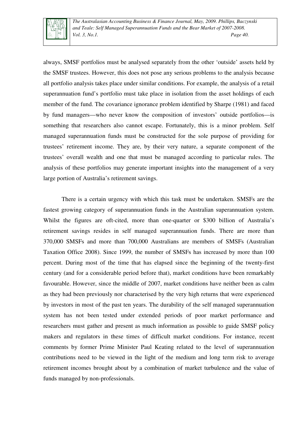

always, SMSF portfolios must be analysed separately from the other 'outside' assets held by the SMSF trustees. However, this does not pose any serious problems to the analysis because all portfolio analysis takes place under similar conditions. For example, the analysis of a retail superannuation fund's portfolio must take place in isolation from the asset holdings of each member of the fund. The covariance ignorance problem identified by Sharpe (1981) and faced by fund managers—who never know the composition of investors' outside portfolios—is something that researchers also cannot escape. Fortunately, this is a minor problem. Self managed superannuation funds must be constructed for the sole purpose of providing for trustees' retirement income. They are, by their very nature, a separate component of the trustees' overall wealth and one that must be managed according to particular rules. The analysis of these portfolios may generate important insights into the management of a very large portion of Australia's retirement savings.

There is a certain urgency with which this task must be undertaken. SMSFs are the fastest growing category of superannuation funds in the Australian superannuation system. Whilst the figures are oft-cited, more than one-quarter or \$300 billion of Australia's retirement savings resides in self managed superannuation funds. There are more than 370,000 SMSFs and more than 700,000 Australians are members of SMSFs (Australian Taxation Office 2008). Since 1999, the number of SMSFs has increased by more than 100 percent. During most of the time that has elapsed since the beginning of the twenty-first century (and for a considerable period before that), market conditions have been remarkably favourable. However, since the middle of 2007, market conditions have neither been as calm as they had been previously nor characterised by the very high returns that were experienced by investors in most of the past ten years. The durability of the self managed superannuation system has not been tested under extended periods of poor market performance and researchers must gather and present as much information as possible to guide SMSF policy makers and regulators in these times of difficult market conditions. For instance, recent comments by former Prime Minister Paul Keating related to the level of superannuation contributions need to be viewed in the light of the medium and long term risk to average retirement incomes brought about by a combination of market turbulence and the value of funds managed by non-professionals.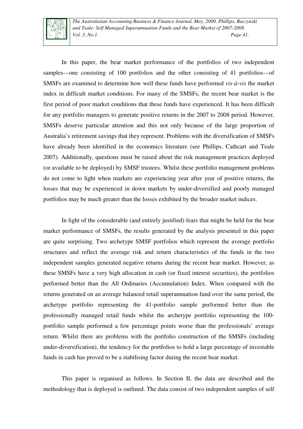

*The Australasian Accounting Business & Finance Journal, May, 2009. Phillips, Baczynski and Teale: Self Managed Superannuation Funds and the Bear Market of 2007-2008. Vol. 3, No.1. Page 41.* 

In this paper, the bear market performance of the portfolios of two independent samples—one consisting of 100 portfolios and the other consisting of 41 portfolios—of SMSFs are examined to determine how well these funds have performed *vis-à-vis* the market index in difficult market conditions. For many of the SMSFs, the recent bear market is the first period of poor market conditions that these funds have experienced. It has been difficult for any portfolio managers to generate positive returns in the 2007 to 2008 period. However, SMSFs deserve particular attention and this not only because of the large proportion of Australia's retirement savings that they represent. Problems with the diversification of SMSFs have already been identified in the economics literature (see Phillips, Cathcart and Teale 2007). Additionally, questions must be raised about the risk management practices deployed (or available to be deployed) by SMSF trustees. Whilst these portfolio management problems do not come to light when markets are experiencing year after year of positive returns, the losses that may be experienced in down markets by under-diversified and poorly managed portfolios may be much greater than the losses exhibited by the broader market indices.

In light of the considerable (and entirely justified) fears that might be held for the bear market performance of SMSFs, the results generated by the analysis presented in this paper are quite surprising. Two archetype SMSF portfolios which represent the average portfolio structures and reflect the average risk and return characteristics of the funds in the two independent samples generated negative returns during the recent bear market. However, as these SMSFs have a very high allocation in cash (or fixed interest securities), the portfolios performed better than the All Ordinaries (Accumulation) Index. When compared with the returns generated on an average balanced retail superannuation fund over the same period, the archetype portfolio representing the 41-portfolio sample performed better than the professionally managed retail funds whilst the archetype portfolio representing the 100 portfolio sample performed a few percentage points worse than the professionals' average return. Whilst there are problems with the portfolio construction of the SMSFs (including under-diversification), the tendency for the portfolios to hold a large percentage of investable funds in cash has proved to be a stabilising factor during the recent bear market.

This paper is organised as follows. In Section II, the data are described and the methodology that is deployed is outlined. The data consist of two independent samples of self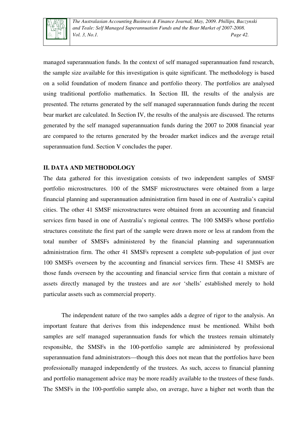

managed superannuation funds. In the context of self managed superannuation fund research, the sample size available for this investigation is quite significant. The methodology is based on a solid foundation of modern finance and portfolio theory. The portfolios are analysed using traditional portfolio mathematics. In Section III, the results of the analysis are presented. The returns generated by the self managed superannuation funds during the recent bear market are calculated. In Section IV, the results of the analysis are discussed. The returns generated by the self managed superannuation funds during the 2007 to 2008 financial year are compared to the returns generated by the broader market indices and the average retail superannuation fund. Section V concludes the paper.

### **II. DATA AND METHODOLOGY**

The data gathered for this investigation consists of two independent samples of SMSF portfolio microstructures. 100 of the SMSF microstructures were obtained from a large financial planning and superannuation administration firm based in one of Australia's capital cities. The other 41 SMSF microstructures were obtained from an accounting and financial services firm based in one of Australia's regional centres. The 100 SMSFs whose portfolio structures constitute the first part of the sample were drawn more or less at random from the total number of SMSFs administered by the financial planning and superannuation administration firm. The other 41 SMSFs represent a complete sub-population of just over 100 SMSFs overseen by the accounting and financial services firm. These 41 SMSFs are those funds overseen by the accounting and financial service firm that contain a mixture of assets directly managed by the trustees and are *not* 'shells' established merely to hold particular assets such as commercial property.

The independent nature of the two samples adds a degree of rigor to the analysis. An important feature that derives from this independence must be mentioned. Whilst both samples are self managed superannuation funds for which the trustees remain ultimately responsible, the SMSFs in the 100-portfolio sample are administered by professional superannuation fund administrators—though this does not mean that the portfolios have been professionally managed independently of the trustees. As such, access to financial planning and portfolio management advice may be more readily available to the trustees of these funds. The SMSFs in the 100-portfolio sample also, on average, have a higher net worth than the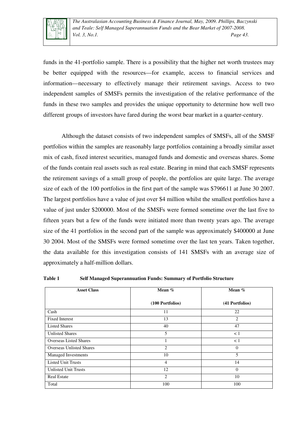

funds in the 41-portfolio sample. There is a possibility that the higher net worth trustees may be better equipped with the resources—for example, access to financial services and information—necessary to effectively manage their retirement savings. Access to two independent samples of SMSFs permits the investigation of the relative performance of the funds in these two samples and provides the unique opportunity to determine how well two different groups of investors have fared during the worst bear market in a quarter-century.

Although the dataset consists of two independent samples of SMSFs, all of the SMSF portfolios within the samples are reasonably large portfolios containing a broadly similar asset mix of cash, fixed interest securities, managed funds and domestic and overseas shares. Some of the funds contain real assets such as real estate. Bearing in mind that each SMSF represents the retirement savings of a small group of people, the portfolios are quite large. The average size of each of the 100 portfolios in the first part of the sample was \$796611 at June 30 2007. The largest portfolios have a value of just over \$4 million whilst the smallest portfolios have a value of just under \$200000. Most of the SMSFs were formed sometime over the last five to fifteen years but a few of the funds were initiated more than twenty years ago. The average size of the 41 portfolios in the second part of the sample was approximately \$400000 at June 30 2004. Most of the SMSFs were formed sometime over the last ten years. Taken together, the data available for this investigation consists of 141 SMSFs with an average size of approximately a half-million dollars.

| <b>Asset Class</b>              | Mean %           | Mean %          |
|---------------------------------|------------------|-----------------|
|                                 | (100 Portfolios) | (41 Portfolios) |
| Cash                            | 11               | 22              |
| <b>Fixed Interest</b>           | 13               | 2               |
| <b>Listed Shares</b>            | 40               | 47              |
| <b>Unlisted Shares</b>          | 5.               | $\lt 1$         |
| <b>Overseas Listed Shares</b>   | $\mathbf{1}$     | $\lt 1$         |
| <b>Overseas Unlisted Shares</b> | 2                | $\Omega$        |
| Managed Investments             | 10               | 5               |
| <b>Listed Unit Trusts</b>       | $\overline{4}$   | 14              |
| <b>Unlisted Unit Trusts</b>     | 12               | $\Omega$        |
| <b>Real Estate</b>              | 2                | 10              |
| Total                           | 100              | 100             |

**Table 1 Self Managed Superannuation Funds: Summary of Portfolio Structure**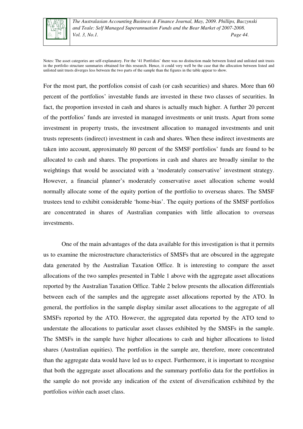

*The Australasian Accounting Business & Finance Journal, May, 2009. Phillips, Baczynski and Teale: Self Managed Superannuation Funds and the Bear Market of 2007-2008. Vol. 3, No.1. Page 44.* 

Notes: The asset categories are self-explanatory. For the '41 Portfolios' there was no distinction made between listed and unlisted unit trusts in the portfolio structure summaries obtained for this research. Hence, it could very well be the case that the allocation between listed and unlisted unit trusts diverges less between the two parts of the sample than the figures in the table appear to show.

For the most part, the portfolios consist of cash (or cash securities) and shares. More than 60 percent of the portfolios' investable funds are invested in these two classes of securities. In fact, the proportion invested in cash and shares is actually much higher. A further 20 percent of the portfolios' funds are invested in managed investments or unit trusts. Apart from some investment in property trusts, the investment allocation to managed investments and unit trusts represents (indirect) investment in cash and shares. When these indirect investments are taken into account, approximately 80 percent of the SMSF portfolios' funds are found to be allocated to cash and shares. The proportions in cash and shares are broadly similar to the weightings that would be associated with a 'moderately conservative' investment strategy. However, a financial planner's moderately conservative asset allocation scheme would normally allocate some of the equity portion of the portfolio to overseas shares. The SMSF trustees tend to exhibit considerable 'home-bias'. The equity portions of the SMSF portfolios are concentrated in shares of Australian companies with little allocation to overseas investments.

One of the main advantages of the data available for this investigation is that it permits us to examine the microstructure characteristics of SMSFs that are obscured in the aggregate data generated by the Australian Taxation Office. It is interesting to compare the asset allocations of the two samples presented in Table 1 above with the aggregate asset allocations reported by the Australian Taxation Office. Table 2 below presents the allocation differentials between each of the samples and the aggregate asset allocations reported by the ATO. In general, the portfolios in the sample display similar asset allocations to the aggregate of all SMSFs reported by the ATO. However, the aggregated data reported by the ATO tend to understate the allocations to particular asset classes exhibited by the SMSFs in the sample. The SMSFs in the sample have higher allocations to cash and higher allocations to listed shares (Australian equities). The portfolios in the sample are, therefore, more concentrated than the aggregate data would have led us to expect. Furthermore, it is important to recognise that both the aggregate asset allocations and the summary portfolio data for the portfolios in the sample do not provide any indication of the extent of diversification exhibited by the portfolios *within* each asset class.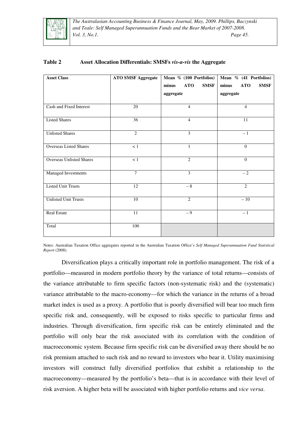

*The Australasian Accounting Business & Finance Journal, May, 2009. Phillips, Baczynski and Teale: Self Managed Superannuation Funds and the Bear Market of 2007-2008. Vol. 3, No.1. Page 45.* 

| <b>Asset Class</b>              | <b>ATO SMSF Aggregate</b> | Mean % (100 Portfolios)<br><b>SMSF</b><br>minus<br><b>ATO</b><br>aggregate | Mean % (41 Portfolios)<br><b>ATO</b><br><b>SMSF</b><br>minus<br>aggregate |
|---------------------------------|---------------------------|----------------------------------------------------------------------------|---------------------------------------------------------------------------|
| Cash and Fixed Interest         | 20                        | $\overline{4}$                                                             | 4                                                                         |
| <b>Listed Shares</b>            | 36                        | $\overline{4}$                                                             | 11                                                                        |
| <b>Unlisted Shares</b>          | $\overline{c}$            | $\overline{3}$                                                             | $-1$                                                                      |
| <b>Overseas Listed Shares</b>   | $<1\,$                    | $\mathbf{1}$                                                               | $\theta$                                                                  |
| <b>Overseas Unlisted Shares</b> | < 1                       | $\overline{c}$                                                             | $\theta$                                                                  |
| Managed Investments             | $\overline{7}$            | 3                                                                          | $-2$                                                                      |
| <b>Listed Unit Trusts</b>       | $\overline{12}$           | $-8$                                                                       | 2                                                                         |
| <b>Unlisted Unit Trusts</b>     | 10                        | $\overline{2}$                                                             | $-10$                                                                     |
| <b>Real Estate</b>              | 11                        | $-9$                                                                       | $-1$                                                                      |
| Total                           | 100                       |                                                                            |                                                                           |

### **Table 2 Asset Allocation Differentials: SMSFs** *vis-a-vis* **the Aggregate**

Notes: Australian Taxation Office aggregates reported in the Australian Taxation Office's *Self Managed Superannuation Fund Statistical Report* (2008).

Diversification plays a critically important role in portfolio management. The risk of a portfolio—measured in modern portfolio theory by the variance of total returns—consists of the variance attributable to firm specific factors (non-systematic risk) and the (systematic) variance attributable to the macro-economy—for which the variance in the returns of a broad market index is used as a proxy. A portfolio that is poorly diversified will bear too much firm specific risk and, consequently, will be exposed to risks specific to particular firms and industries. Through diversification, firm specific risk can be entirely eliminated and the portfolio will only bear the risk associated with its correlation with the condition of macroeconomic system. Because firm specific risk can be diversified away there should be no risk premium attached to such risk and no reward to investors who bear it. Utility maximising investors will construct fully diversified portfolios that exhibit a relationship to the macroeconomy—measured by the portfolio's beta—that is in accordance with their level of risk aversion. A higher beta will be associated with higher portfolio returns and *vice versa*.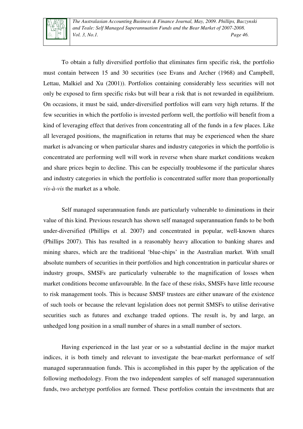

*The Australasian Accounting Business & Finance Journal, May, 2009. Phillips, Baczynski and Teale: Self Managed Superannuation Funds and the Bear Market of 2007-2008. Vol. 3, No.1. Page 46.* 

To obtain a fully diversified portfolio that eliminates firm specific risk, the portfolio must contain between 15 and 30 securities (see Evans and Archer (1968) and Campbell, Lettau, Malkiel and Xu (2001)). Portfolios containing considerably less securities will not only be exposed to firm specific risks but will bear a risk that is not rewarded in equilibrium. On occasions, it must be said, under-diversified portfolios will earn very high returns. If the few securities in which the portfolio is invested perform well, the portfolio will benefit from a kind of leveraging effect that derives from concentrating all of the funds in a few places. Like all leveraged positions, the magnification in returns that may be experienced when the share market is advancing or when particular shares and industry categories in which the portfolio is concentrated are performing well will work in reverse when share market conditions weaken and share prices begin to decline. This can be especially troublesome if the particular shares and industry categories in which the portfolio is concentrated suffer more than proportionally *vis-à-vis* the market as a whole.

Self managed superannuation funds are particularly vulnerable to diminutions in their value of this kind. Previous research has shown self managed superannuation funds to be both under-diversified (Phillips et al. 2007) and concentrated in popular, well-known shares (Phillips 2007). This has resulted in a reasonably heavy allocation to banking shares and mining shares, which are the traditional 'blue-chips' in the Australian market. With small absolute numbers of securities in their portfolios and high concentration in particular shares or industry groups, SMSFs are particularly vulnerable to the magnification of losses when market conditions become unfavourable. In the face of these risks, SMSFs have little recourse to risk management tools. This is because SMSF trustees are either unaware of the existence of such tools or because the relevant legislation does not permit SMSFs to utilise derivative securities such as futures and exchange traded options. The result is, by and large, an unhedged long position in a small number of shares in a small number of sectors.

Having experienced in the last year or so a substantial decline in the major market indices, it is both timely and relevant to investigate the bear-market performance of self managed superannuation funds. This is accomplished in this paper by the application of the following methodology. From the two independent samples of self managed superannuation funds, two archetype portfolios are formed. These portfolios contain the investments that are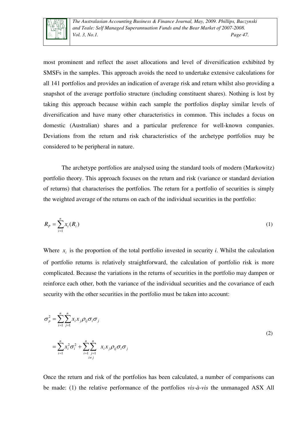

most prominent and reflect the asset allocations and level of diversification exhibited by SMSFs in the samples. This approach avoids the need to undertake extensive calculations for all 141 portfolios and provides an indication of average risk and return whilst also providing a snapshot of the average portfolio structure (including constituent shares). Nothing is lost by taking this approach because within each sample the portfolios display similar levels of diversification and have many other characteristics in common. This includes a focus on domestic (Australian) shares and a particular preference for well-known companies. Deviations from the return and risk characteristics of the archetype portfolios may be considered to be peripheral in nature.

The archetype portfolios are analysed using the standard tools of modern (Markowitz) portfolio theory. This approach focuses on the return and risk (variance or standard deviation of returns) that characterises the portfolios. The return for a portfolio of securities is simply the weighted average of the returns on each of the individual securities in the portfolio:

$$
R_p = \sum_{i=1}^{n} x_i(R_i)
$$
 (1)

Where  $x_i$  is the proportion of the total portfolio invested in security *i*. Whilst the calculation of portfolio returns is relatively straightforward, the calculation of portfolio risk is more complicated. Because the variations in the returns of securities in the portfolio may dampen or reinforce each other, both the variance of the individual securities and the covariance of each security with the other securities in the portfolio must be taken into account:

$$
\sigma_p^2 = \sum_{i=1}^n \sum_{j=1}^n x_i x_j \rho_{ij} \sigma_i \sigma_j
$$
\n
$$
= \sum_{i=1}^n x_i^2 \sigma_i^2 + \sum_{i=1}^n \sum_{\substack{j=1 \ j \neq j}}^n x_i x_j \rho_{ij} \sigma_i \sigma_j
$$
\n
$$
(2)
$$

Once the return and risk of the portfolios has been calculated, a number of comparisons can be made: (1) the relative performance of the portfolios *vis-à-vis* the unmanaged ASX All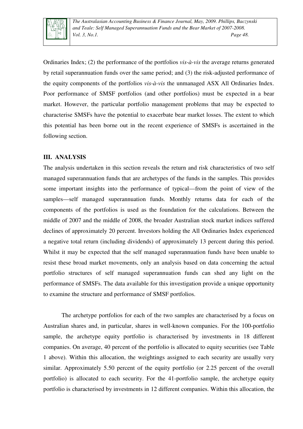

Ordinaries Index; (2) the performance of the portfolios *vis-à-vis* the average returns generated by retail superannuation funds over the same period; and (3) the risk-adjusted performance of the equity components of the portfolios *vis-à-vis* the unmanaged ASX All Ordinaries Index. Poor performance of SMSF portfolios (and other portfolios) must be expected in a bear market. However, the particular portfolio management problems that may be expected to characterise SMSFs have the potential to exacerbate bear market losses. The extent to which this potential has been borne out in the recent experience of SMSFs is ascertained in the following section.

#### **III. ANALYSIS**

The analysis undertaken in this section reveals the return and risk characteristics of two self managed superannuation funds that are archetypes of the funds in the samples. This provides some important insights into the performance of typical—from the point of view of the samples—self managed superannuation funds. Monthly returns data for each of the components of the portfolios is used as the foundation for the calculations. Between the middle of 2007 and the middle of 2008, the broader Australian stock market indices suffered declines of approximately 20 percent. Investors holding the All Ordinaries Index experienced a negative total return (including dividends) of approximately 13 percent during this period. Whilst it may be expected that the self managed superannuation funds have been unable to resist these broad market movements, only an analysis based on data concerning the actual portfolio structures of self managed superannuation funds can shed any light on the performance of SMSFs. The data available for this investigation provide a unique opportunity to examine the structure and performance of SMSF portfolios.

The archetype portfolios for each of the two samples are characterised by a focus on Australian shares and, in particular, shares in well-known companies. For the 100-portfolio sample, the archetype equity portfolio is characterised by investments in 18 different companies. On average, 40 percent of the portfolio is allocated to equity securities (see Table 1 above). Within this allocation, the weightings assigned to each security are usually very similar. Approximately 5.50 percent of the equity portfolio (or 2.25 percent of the overall portfolio) is allocated to each security. For the 41-portfolio sample, the archetype equity portfolio is characterised by investments in 12 different companies. Within this allocation, the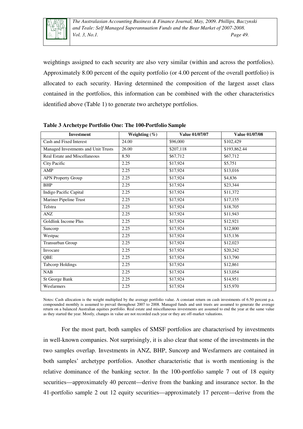

weightings assigned to each security are also very similar (within and across the portfolios). Approximately 8.00 percent of the equity portfolio (or 4.00 percent of the overall portfolio) is allocated to each security. Having determined the composition of the largest asset class contained in the portfolios, this information can be combined with the other characteristics identified above (Table 1) to generate two archetype portfolios.

| <b>Investment</b>                    | Weighting $(\%)$ | Value 01/07/07 | <b>Value 01/07/08</b> |
|--------------------------------------|------------------|----------------|-----------------------|
| Cash and Fixed Interest              | 24.00            | \$96,000       | \$102,429             |
| Managed Investments and Unit Trusts  | 26.00            | \$207,118      | \$193,862.44          |
| <b>Real Estate and Miscellaneous</b> | 8.50             | \$67,712       | \$67,712              |
| City Pacific                         | 2.25             | \$17,924       | \$5,751               |
| <b>AMP</b>                           | 2.25             | \$17,924       | \$13,016              |
| <b>APN Property Group</b>            | 2.25             | \$17,924       | \$4,836               |
| <b>BHP</b>                           | 2.25             | \$17,924       | \$23,344              |
| Indigo Pacific Capital               | 2.25             | \$17,924       | \$11,372              |
| Mariner Pipeline Trust               | 2.25             | \$17,924       | \$17,155              |
| Telstra                              | 2.25             | \$17,924       | \$18,705              |
| <b>ANZ</b>                           | 2.25             | \$17,924       | \$11,943              |
| Goldlink Income Plus                 | 2.25             | \$17,924       | \$12,921              |
| Suncorp                              | 2.25             | \$17,924       | \$12,800              |
| Westpac                              | 2.25             | \$17,924       | \$15,136              |
| Transurban Group                     | 2.25             | \$17,924       | \$12,023              |
| Invocare                             | 2.25             | \$17,924       | \$20,242              |
| QBE                                  | 2.25             | \$17,924       | \$13,790              |
| <b>Tabcorp Holdings</b>              | 2.25             | \$17,924       | \$12,861              |
| <b>NAB</b>                           | 2.25             | \$17,924       | \$13,054              |
| St George Bank                       | 2.25             | \$17,924       | \$14,951              |
| Wesfarmers                           | 2.25             | \$17,924       | \$15,970              |

**Table 3 Archetype Portfolio One: The 100-Portfolio Sample** 

Notes: Cash allocation is the weight multiplied by the average portfolio value. A constant return on cash investments of 6.50 percent p.a. compounded monthly is assumed to prevail throughout 2007 to 2008. Managed funds and unit trusts are assumed to generate the average return on a balanced Australian equities portfolio. Real estate and miscellaneous investments are assumed to end the year at the same value as they started the year. Mostly, changes in value are not recorded each year or they are off-market valuations.

For the most part, both samples of SMSF portfolios are characterised by investments in well-known companies. Not surprisingly, it is also clear that some of the investments in the two samples overlap. Investments in ANZ, BHP, Suncorp and Wesfarmers are contained in both samples' archetype portfolios. Another characteristic that is worth mentioning is the relative dominance of the banking sector. In the 100-portfolio sample 7 out of 18 equity securities—approximately 40 percent—derive from the banking and insurance sector. In the 41-portfolio sample 2 out 12 equity securities—approximately 17 percent—derive from the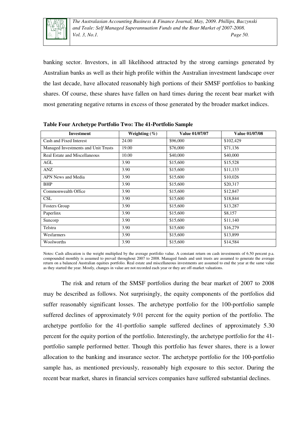

banking sector. Investors, in all likelihood attracted by the strong earnings generated by Australian banks as well as their high profile within the Australian investment landscape over the last decade, have allocated reasonably high portions of their SMSF portfolios to banking shares. Of course, these shares have fallen on hard times during the recent bear market with most generating negative returns in excess of those generated by the broader market indices.

| <b>Investment</b>                   | Weighting $(\% )$ | Value 01/07/07 | Value 01/07/08 |
|-------------------------------------|-------------------|----------------|----------------|
| Cash and Fixed Interest             | 24.00             | \$96,000       | \$102,429      |
| Managed Investments and Unit Trusts | 19.00             | \$76,000       | \$71,136       |
| Real Estate and Miscellaneous       | 10.00             | \$40,000       | \$40,000       |
| AGL                                 | 3.90              | \$15,600       | \$15,528       |
| ANZ                                 | 3.90              | \$15,600       | \$11,133       |
| APN News and Media                  | 3.90              | \$15,600       | \$10,026       |
| <b>BHP</b>                          | 3.90              | \$15,600       | \$20,317       |
| Commonwealth Office                 | 3.90              | \$15,600       | \$12,847       |
| <b>CSL</b>                          | 3.90              | \$15,600       | \$18,844       |
| <b>Fosters Group</b>                | 3.90              | \$15,600       | \$13,287       |
| Paperlinx                           | 3.90              | \$15,600       | \$8,157        |
| Suncorp                             | 3.90              | \$15,600       | \$11,140       |
| Telstra                             | 3.90              | \$15,600       | \$16,279       |
| Wesfarmers                          | 3.90              | \$15,600       | \$13,899       |
| Woolworths                          | 3.90              | \$15,600       | \$14,584       |

**Table Four Archetype Portfolio Two: The 41-Portfolio Sample** 

Notes: Cash allocation is the weight multiplied by the average portfolio value. A constant return on cash investments of 6.50 percent p.a. compounded monthly is assumed to prevail throughout 2007 to 2008. Managed funds and unit trusts are assumed to generate the average return on a balanced Australian equities portfolio. Real estate and miscellaneous investments are assumed to end the year at the same value as they started the year. Mostly, changes in value are not recorded each year or they are off-market valuations.

The risk and return of the SMSF portfolios during the bear market of 2007 to 2008 may be described as follows. Not surprisingly, the equity components of the portfolios did suffer reasonably significant losses. The archetype portfolio for the 100-portfolio sample suffered declines of approximately 9.01 percent for the equity portion of the portfolio. The archetype portfolio for the 41-portfolio sample suffered declines of approximately 5.30 percent for the equity portion of the portfolio. Interestingly, the archetype portfolio for the 41 portfolio sample performed better. Though this portfolio has fewer shares, there is a lower allocation to the banking and insurance sector. The archetype portfolio for the 100-portfolio sample has, as mentioned previously, reasonably high exposure to this sector. During the recent bear market, shares in financial services companies have suffered substantial declines.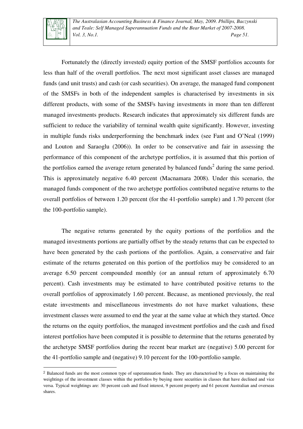

L

*The Australasian Accounting Business & Finance Journal, May, 2009. Phillips, Baczynski and Teale: Self Managed Superannuation Funds and the Bear Market of 2007-2008. Vol. 3, No.1. Page 51.* 

Fortunately the (directly invested) equity portion of the SMSF portfolios accounts for less than half of the overall portfolios. The next most significant asset classes are managed funds (and unit trusts) and cash (or cash securities). On average, the managed fund component of the SMSFs in both of the independent samples is characterised by investments in six different products, with some of the SMSFs having investments in more than ten different managed investments products. Research indicates that approximately six different funds are sufficient to reduce the variability of terminal wealth quite significantly. However, investing in multiple funds risks underperforming the benchmark index (see Fant and O'Neal (1999) and Louton and Saraoglu (2006)). In order to be conservative and fair in assessing the performance of this component of the archetype portfolios, it is assumed that this portion of the portfolios earned the average return generated by balanced funds<sup>2</sup> during the same period. This is approximately negative 6.40 percent (Macnamara 2008). Under this scenario, the managed funds component of the two archetype portfolios contributed negative returns to the overall portfolios of between 1.20 percent (for the 41-portfolio sample) and 1.70 percent (for the 100-portfolio sample).

The negative returns generated by the equity portions of the portfolios and the managed investments portions are partially offset by the steady returns that can be expected to have been generated by the cash portions of the portfolios. Again, a conservative and fair estimate of the returns generated on this portion of the portfolios may be considered to an average 6.50 percent compounded monthly (or an annual return of approximately 6.70 percent). Cash investments may be estimated to have contributed positive returns to the overall portfolios of approximately 1.60 percent. Because, as mentioned previously, the real estate investments and miscellaneous investments do not have market valuations, these investment classes were assumed to end the year at the same value at which they started. Once the returns on the equity portfolios, the managed investment portfolios and the cash and fixed interest portfolios have been computed it is possible to determine that the returns generated by the archetype SMSF portfolios during the recent bear market are (negative) 5.00 percent for the 41-portfolio sample and (negative) 9.10 percent for the 100-portfolio sample.

<sup>2</sup> Balanced funds are the most common type of superannuation funds. They are characterised by a focus on maintaining the weightings of the investment classes within the portfolios by buying more securities in classes that have declined and vice versa. Typical weightings are: 30 percent cash and fixed interest, 9 percent property and 61 percent Australian and overseas shares.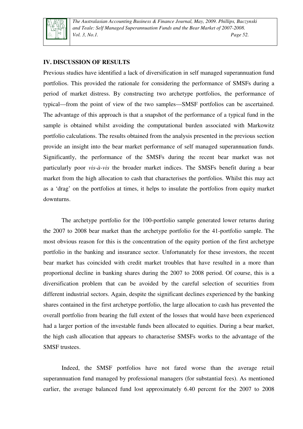

*The Australasian Accounting Business & Finance Journal, May, 2009. Phillips, Baczynski and Teale: Self Managed Superannuation Funds and the Bear Market of 2007-2008. Vol. 3, No.1. Page 52.* 

#### **IV. DISCUSSION OF RESULTS**

Previous studies have identified a lack of diversification in self managed superannuation fund portfolios. This provided the rationale for considering the performance of SMSFs during a period of market distress. By constructing two archetype portfolios, the performance of typical—from the point of view of the two samples—SMSF portfolios can be ascertained. The advantage of this approach is that a snapshot of the performance of a typical fund in the sample is obtained whilst avoiding the computational burden associated with Markowitz portfolio calculations. The results obtained from the analysis presented in the previous section provide an insight into the bear market performance of self managed superannuation funds. Significantly, the performance of the SMSFs during the recent bear market was not particularly poor *vis-à-vis* the broader market indices. The SMSFs benefit during a bear market from the high allocation to cash that characterises the portfolios. Whilst this may act as a 'drag' on the portfolios at times, it helps to insulate the portfolios from equity market downturns.

The archetype portfolio for the 100-portfolio sample generated lower returns during the 2007 to 2008 bear market than the archetype portfolio for the 41-portfolio sample. The most obvious reason for this is the concentration of the equity portion of the first archetype portfolio in the banking and insurance sector. Unfortunately for these investors, the recent bear market has coincided with credit market troubles that have resulted in a more than proportional decline in banking shares during the 2007 to 2008 period. Of course, this is a diversification problem that can be avoided by the careful selection of securities from different industrial sectors. Again, despite the significant declines experienced by the banking shares contained in the first archetype portfolio, the large allocation to cash has prevented the overall portfolio from bearing the full extent of the losses that would have been experienced had a larger portion of the investable funds been allocated to equities. During a bear market, the high cash allocation that appears to characterise SMSFs works to the advantage of the SMSF trustees.

Indeed, the SMSF portfolios have not fared worse than the average retail superannuation fund managed by professional managers (for substantial fees). As mentioned earlier, the average balanced fund lost approximately 6.40 percent for the 2007 to 2008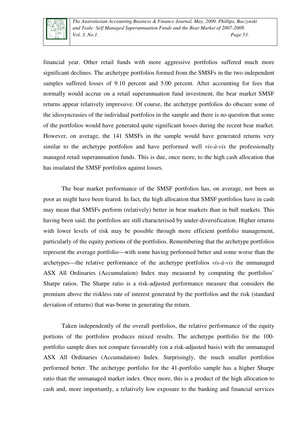

financial year. Other retail funds with more aggressive portfolios suffered much more significant declines. The archetype portfolios formed from the SMSFs in the two independent samples suffered losses of 9.10 percent and 5.00 percent. After accounting for fees that normally would accrue on a retail superannuation fund investment, the bear market SMSF returns appear relatively impressive. Of course, the archetype portfolios do obscure some of the idiosyncrasies of the individual portfolios in the sample and there is no question that some of the portfolios would have generated quite significant losses during the recent bear market. However, on average, the 141 SMSFs in the sample would have generated returns very similar to the archetype portfolios and have performed well *vis-à-vis* the professionally managed retail superannuation funds. This is due, once more, to the high cash allocation that has insulated the SMSF portfolios against losses.

The bear market performance of the SMSF portfolios has, on average, not been as poor as might have been feared. In fact, the high allocation that SMSF portfolios have in cash may mean that SMSFs perform (relatively) better in bear markets than in bull markets. This having been said, the portfolios are still characterised by under-diversification. Higher returns with lower levels of risk may be possible through more efficient portfolio management, particularly of the equity portions of the portfolios. Remembering that the archetype portfolios represent the average portfolio—with some having performed better and some worse than the archetypes—the relative performance of the archetype portfolios *vis-à-vis* the unmanaged ASX All Ordinaries (Accumulation) Index may measured by computing the portfolios' Sharpe ratios. The Sharpe ratio is a risk-adjusted performance measure that considers the premium above the riskless rate of interest generated by the portfolios and the risk (standard deviation of returns) that was borne in generating the return.

Taken independently of the overall portfolios, the relative performance of the equity portions of the portfolios produces mixed results. The archetype portfolio for the 100 portfolio sample does not compare favourably (on a risk-adjusted basis) with the unmanaged ASX All Ordinaries (Accumulation) Index. Surprisingly, the much smaller portfolios performed better. The archetype portfolio for the 41-portfolio sample has a higher Sharpe ratio than the unmanaged market index. Once more, this is a product of the high allocation to cash and, more importantly, a relatively low exposure to the banking and financial services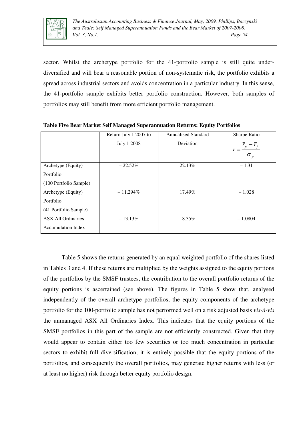

sector. Whilst the archetype portfolio for the 41-portfolio sample is still quite underdiversified and will bear a reasonable portion of non-systematic risk, the portfolio exhibits a spread across industrial sectors and avoids concentration in a particular industry. In this sense, the 41-portfolio sample exhibits better portfolio construction. However, both samples of portfolios may still benefit from more efficient portfolio management.

|                           | Return July 1 2007 to | <b>Annualised Standard</b> | Sharpe Ratio                              |
|---------------------------|-----------------------|----------------------------|-------------------------------------------|
|                           | July 1 2008           | Deviation                  | $r = \frac{r_p - r_f}{r}$<br>$\sigma_{p}$ |
| Archetype (Equity)        | $-22.52\%$            | 22.13%                     | $-1.31$                                   |
| Portfolio                 |                       |                            |                                           |
| (100 Portfolio Sample)    |                       |                            |                                           |
| Archetype (Equity)        | $-11.294\%$           | 17.49%                     | $-1.028$                                  |
| Portfolio                 |                       |                            |                                           |
| (41 Portfolio Sample)     |                       |                            |                                           |
| <b>ASX All Ordinaries</b> | $-13.13\%$            | 18.35%                     | $-1.0804$                                 |
| <b>Accumulation Index</b> |                       |                            |                                           |

**Table Five Bear Market Self Managed Superannuation Returns: Equity Portfolios** 

Table 5 shows the returns generated by an equal weighted portfolio of the shares listed in Tables 3 and 4. If these returns are multiplied by the weights assigned to the equity portions of the portfolios by the SMSF trustees, the contribution to the overall portfolio returns of the equity portions is ascertained (see above). The figures in Table 5 show that, analysed independently of the overall archetype portfolios, the equity components of the archetype portfolio for the 100-portfolio sample has not performed well on a risk adjusted basis *vis-à-vis* the unmanaged ASX All Ordinaries Index. This indicates that the equity portions of the SMSF portfolios in this part of the sample are not efficiently constructed. Given that they would appear to contain either too few securities or too much concentration in particular sectors to exhibit full diversification, it is entirely possible that the equity portions of the portfolios, and consequently the overall portfolios, may generate higher returns with less (or at least no higher) risk through better equity portfolio design.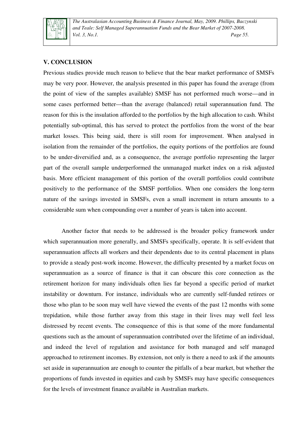

*The Australasian Accounting Business & Finance Journal, May, 2009. Phillips, Baczynski and Teale: Self Managed Superannuation Funds and the Bear Market of 2007-2008. Vol. 3, No.1. Page 55.* 

#### **V. CONCLUSION**

Previous studies provide much reason to believe that the bear market performance of SMSFs may be very poor. However, the analysis presented in this paper has found the average (from the point of view of the samples available) SMSF has not performed much worse—and in some cases performed better—than the average (balanced) retail superannuation fund. The reason for this is the insulation afforded to the portfolios by the high allocation to cash. Whilst potentially sub-optimal, this has served to protect the portfolios from the worst of the bear market losses. This being said, there is still room for improvement. When analysed in isolation from the remainder of the portfolios, the equity portions of the portfolios are found to be under-diversified and, as a consequence, the average portfolio representing the larger part of the overall sample underperformed the unmanaged market index on a risk adjusted basis. More efficient management of this portion of the overall portfolios could contribute positively to the performance of the SMSF portfolios. When one considers the long-term nature of the savings invested in SMSFs, even a small increment in return amounts to a considerable sum when compounding over a number of years is taken into account.

Another factor that needs to be addressed is the broader policy framework under which superannuation more generally, and SMSFs specifically, operate. It is self-evident that superannuation affects all workers and their dependents due to its central placement in plans to provide a steady post-work income. However, the difficulty presented by a market focus on superannuation as a source of finance is that it can obscure this core connection as the retirement horizon for many individuals often lies far beyond a specific period of market instability or downturn. For instance, individuals who are currently self-funded retirees or those who plan to be soon may well have viewed the events of the past 12 months with some trepidation, while those further away from this stage in their lives may well feel less distressed by recent events. The consequence of this is that some of the more fundamental questions such as the amount of superannuation contributed over the lifetime of an individual, and indeed the level of regulation and assistance for both managed and self managed approached to retirement incomes. By extension, not only is there a need to ask if the amounts set aside in superannuation are enough to counter the pitfalls of a bear market, but whether the proportions of funds invested in equities and cash by SMSFs may have specific consequences for the levels of investment finance available in Australian markets.